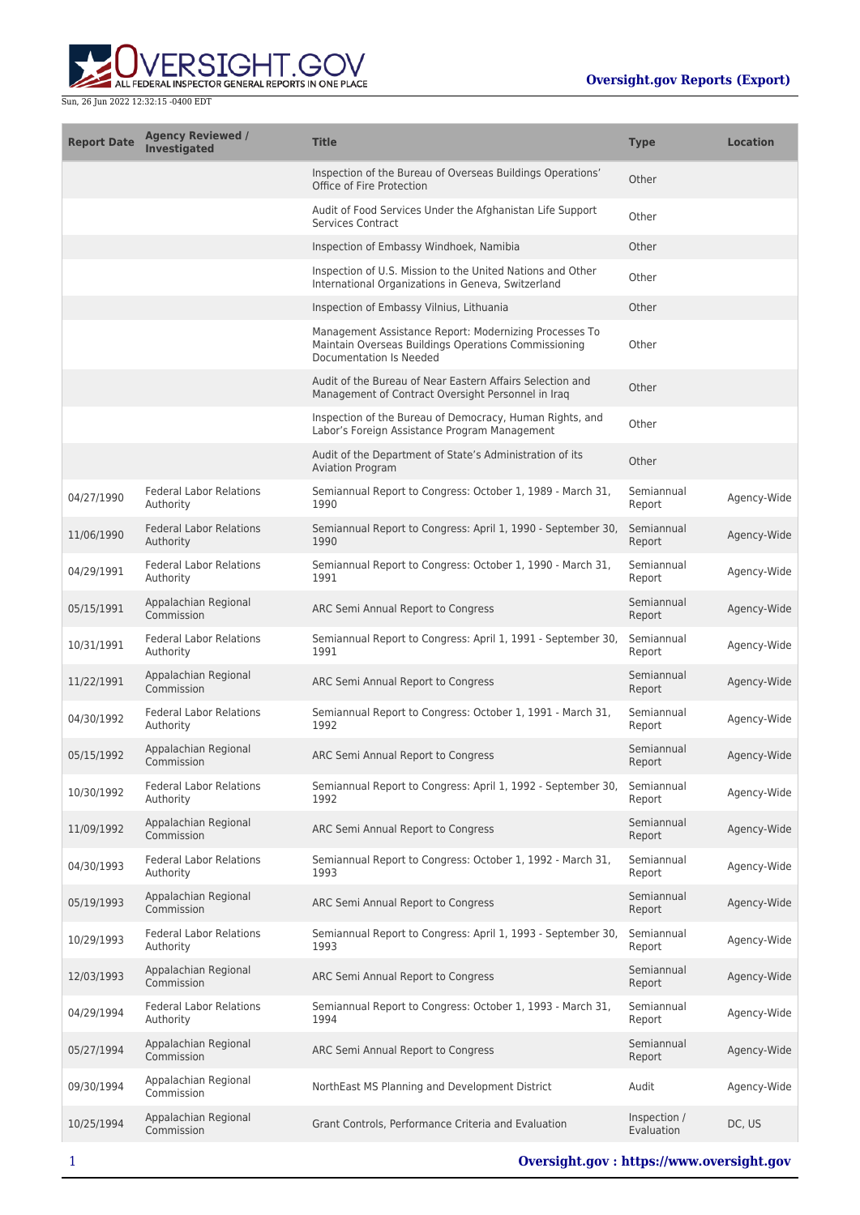

| <b>Report Date</b> | <b>Agency Reviewed /</b><br><b>Investigated</b> | <b>Title</b>                                                                                                                              | <b>Type</b>                | <b>Location</b> |
|--------------------|-------------------------------------------------|-------------------------------------------------------------------------------------------------------------------------------------------|----------------------------|-----------------|
|                    |                                                 | Inspection of the Bureau of Overseas Buildings Operations'<br>Office of Fire Protection                                                   | Other                      |                 |
|                    |                                                 | Audit of Food Services Under the Afghanistan Life Support<br><b>Services Contract</b>                                                     | Other                      |                 |
|                    |                                                 | Inspection of Embassy Windhoek, Namibia                                                                                                   | Other                      |                 |
|                    |                                                 | Inspection of U.S. Mission to the United Nations and Other<br>International Organizations in Geneva, Switzerland                          | Other                      |                 |
|                    |                                                 | Inspection of Embassy Vilnius, Lithuania                                                                                                  | Other                      |                 |
|                    |                                                 | Management Assistance Report: Modernizing Processes To<br>Maintain Overseas Buildings Operations Commissioning<br>Documentation Is Needed | Other                      |                 |
|                    |                                                 | Audit of the Bureau of Near Eastern Affairs Selection and<br>Management of Contract Oversight Personnel in Iraq                           | Other                      |                 |
|                    |                                                 | Inspection of the Bureau of Democracy, Human Rights, and<br>Labor's Foreign Assistance Program Management                                 | Other                      |                 |
|                    |                                                 | Audit of the Department of State's Administration of its<br><b>Aviation Program</b>                                                       | Other                      |                 |
| 04/27/1990         | <b>Federal Labor Relations</b><br>Authority     | Semiannual Report to Congress: October 1, 1989 - March 31,<br>1990                                                                        | Semiannual<br>Report       | Agency-Wide     |
| 11/06/1990         | <b>Federal Labor Relations</b><br>Authority     | Semiannual Report to Congress: April 1, 1990 - September 30,<br>1990                                                                      | Semiannual<br>Report       | Agency-Wide     |
| 04/29/1991         | <b>Federal Labor Relations</b><br>Authority     | Semiannual Report to Congress: October 1, 1990 - March 31,<br>1991                                                                        | Semiannual<br>Report       | Agency-Wide     |
| 05/15/1991         | Appalachian Regional<br>Commission              | ARC Semi Annual Report to Congress                                                                                                        | Semiannual<br>Report       | Agency-Wide     |
| 10/31/1991         | <b>Federal Labor Relations</b><br>Authority     | Semiannual Report to Congress: April 1, 1991 - September 30,<br>1991                                                                      | Semiannual<br>Report       | Agency-Wide     |
| 11/22/1991         | Appalachian Regional<br>Commission              | ARC Semi Annual Report to Congress                                                                                                        | Semiannual<br>Report       | Agency-Wide     |
| 04/30/1992         | <b>Federal Labor Relations</b><br>Authority     | Semiannual Report to Congress: October 1, 1991 - March 31,<br>1992                                                                        | Semiannual<br>Report       | Agency-Wide     |
| 05/15/1992         | Appalachian Regional<br>Commission              | ARC Semi Annual Report to Congress                                                                                                        | Semiannual<br>Report       | Agency-Wide     |
| 10/30/1992         | <b>Federal Labor Relations</b><br>Authority     | Semiannual Report to Congress: April 1, 1992 - September 30,<br>1992                                                                      | Semiannual<br>Report       | Agency-Wide     |
| 11/09/1992         | Appalachian Regional<br>Commission              | ARC Semi Annual Report to Congress                                                                                                        | Semiannual<br>Report       | Agency-Wide     |
| 04/30/1993         | <b>Federal Labor Relations</b><br>Authority     | Semiannual Report to Congress: October 1, 1992 - March 31,<br>1993                                                                        | Semiannual<br>Report       | Agency-Wide     |
| 05/19/1993         | Appalachian Regional<br>Commission              | ARC Semi Annual Report to Congress                                                                                                        | Semiannual<br>Report       | Agency-Wide     |
| 10/29/1993         | <b>Federal Labor Relations</b><br>Authority     | Semiannual Report to Congress: April 1, 1993 - September 30,<br>1993                                                                      | Semiannual<br>Report       | Agency-Wide     |
| 12/03/1993         | Appalachian Regional<br>Commission              | ARC Semi Annual Report to Congress                                                                                                        | Semiannual<br>Report       | Agency-Wide     |
| 04/29/1994         | <b>Federal Labor Relations</b><br>Authority     | Semiannual Report to Congress: October 1, 1993 - March 31,<br>1994                                                                        | Semiannual<br>Report       | Agency-Wide     |
| 05/27/1994         | Appalachian Regional<br>Commission              | ARC Semi Annual Report to Congress                                                                                                        | Semiannual<br>Report       | Agency-Wide     |
| 09/30/1994         | Appalachian Regional<br>Commission              | NorthEast MS Planning and Development District                                                                                            | Audit                      | Agency-Wide     |
| 10/25/1994         | Appalachian Regional<br>Commission              | Grant Controls, Performance Criteria and Evaluation                                                                                       | Inspection /<br>Evaluation | DC, US          |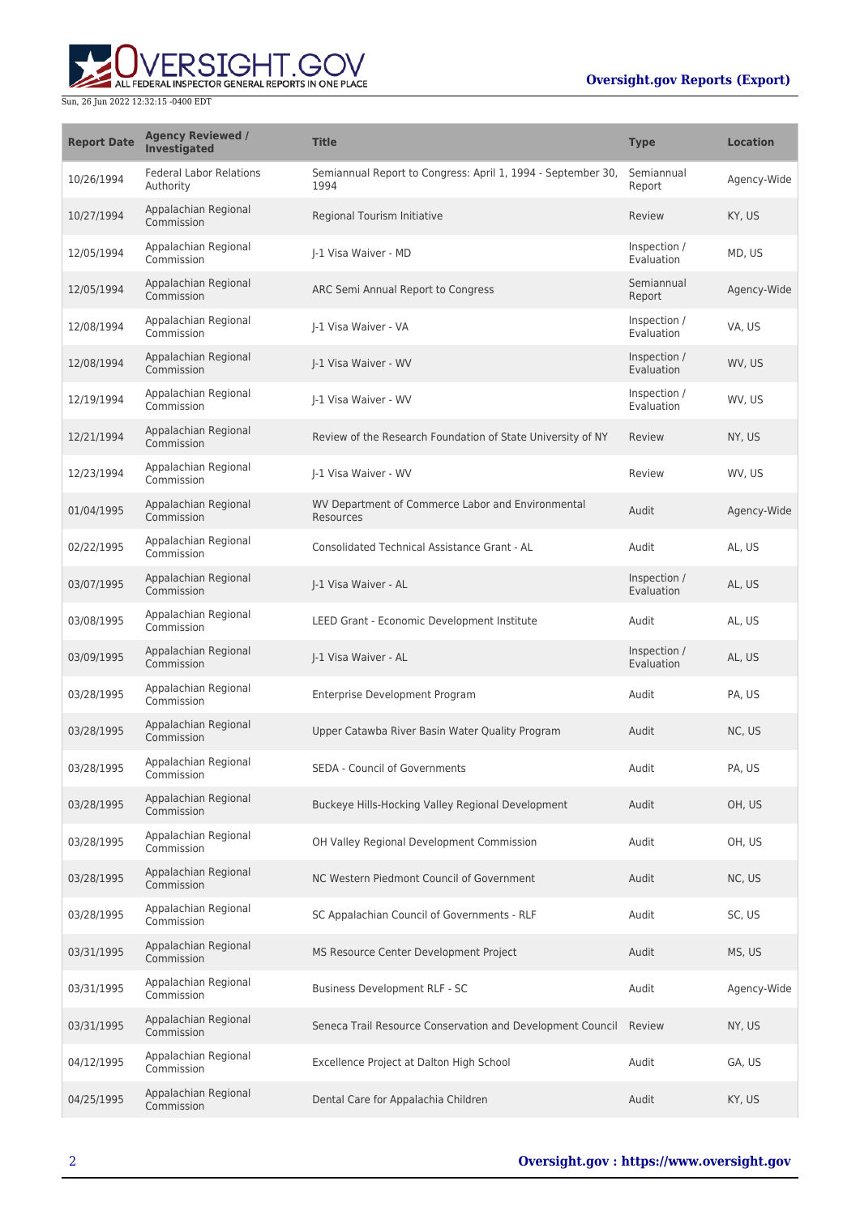# **Oversight.gov Reports (Export)**



| <b>Report Date</b> | <b>Agency Reviewed /</b><br>Investigated    | <b>Title</b>                                                         | <b>Type</b>                | <b>Location</b> |
|--------------------|---------------------------------------------|----------------------------------------------------------------------|----------------------------|-----------------|
| 10/26/1994         | <b>Federal Labor Relations</b><br>Authority | Semiannual Report to Congress: April 1, 1994 - September 30,<br>1994 | Semiannual<br>Report       | Agency-Wide     |
| 10/27/1994         | Appalachian Regional<br>Commission          | Regional Tourism Initiative                                          | Review                     | KY, US          |
| 12/05/1994         | Appalachian Regional<br>Commission          | I-1 Visa Waiver - MD                                                 | Inspection /<br>Evaluation | MD, US          |
| 12/05/1994         | Appalachian Regional<br>Commission          | ARC Semi Annual Report to Congress                                   | Semiannual<br>Report       | Agency-Wide     |
| 12/08/1994         | Appalachian Regional<br>Commission          | J-1 Visa Waiver - VA                                                 | Inspection /<br>Evaluation | VA, US          |
| 12/08/1994         | Appalachian Regional<br>Commission          | J-1 Visa Waiver - WV                                                 | Inspection /<br>Evaluation | WV, US          |
| 12/19/1994         | Appalachian Regional<br>Commission          | I-1 Visa Waiver - WV                                                 | Inspection /<br>Evaluation | WV, US          |
| 12/21/1994         | Appalachian Regional<br>Commission          | Review of the Research Foundation of State University of NY          | Review                     | NY, US          |
| 12/23/1994         | Appalachian Regional<br>Commission          | J-1 Visa Waiver - WV                                                 | Review                     | WV, US          |
| 01/04/1995         | Appalachian Regional<br>Commission          | WV Department of Commerce Labor and Environmental<br>Resources       | Audit                      | Agency-Wide     |
| 02/22/1995         | Appalachian Regional<br>Commission          | <b>Consolidated Technical Assistance Grant - AL</b>                  | Audit                      | AL, US          |
| 03/07/1995         | Appalachian Regional<br>Commission          | J-1 Visa Waiver - AL                                                 | Inspection /<br>Evaluation | AL, US          |
| 03/08/1995         | Appalachian Regional<br>Commission          | LEED Grant - Economic Development Institute                          | Audit                      | AL, US          |
| 03/09/1995         | Appalachian Regional<br>Commission          | J-1 Visa Waiver - AL                                                 | Inspection /<br>Evaluation | AL, US          |
| 03/28/1995         | Appalachian Regional<br>Commission          | Enterprise Development Program                                       | Audit                      | PA, US          |
| 03/28/1995         | Appalachian Regional<br>Commission          | Upper Catawba River Basin Water Quality Program                      | Audit                      | NC, US          |
| 03/28/1995         | Appalachian Regional<br>Commission          | SEDA - Council of Governments                                        | Audit                      | PA. US          |
| 03/28/1995         | Appalachian Regional<br>Commission          | Buckeye Hills-Hocking Valley Regional Development                    | Audit                      | OH, US          |
| 03/28/1995         | Appalachian Regional<br>Commission          | OH Valley Regional Development Commission                            | Audit                      | OH, US          |
| 03/28/1995         | Appalachian Regional<br>Commission          | NC Western Piedmont Council of Government                            | Audit                      | NC, US          |
| 03/28/1995         | Appalachian Regional<br>Commission          | SC Appalachian Council of Governments - RLF                          | Audit                      | SC, US          |
| 03/31/1995         | Appalachian Regional<br>Commission          | MS Resource Center Development Project                               | Audit                      | MS, US          |
| 03/31/1995         | Appalachian Regional<br>Commission          | Business Development RLF - SC                                        | Audit                      | Agency-Wide     |
| 03/31/1995         | Appalachian Regional<br>Commission          | Seneca Trail Resource Conservation and Development Council           | Review                     | NY, US          |
| 04/12/1995         | Appalachian Regional<br>Commission          | Excellence Project at Dalton High School                             | Audit                      | GA, US          |
| 04/25/1995         | Appalachian Regional<br>Commission          | Dental Care for Appalachia Children                                  | Audit                      | KY, US          |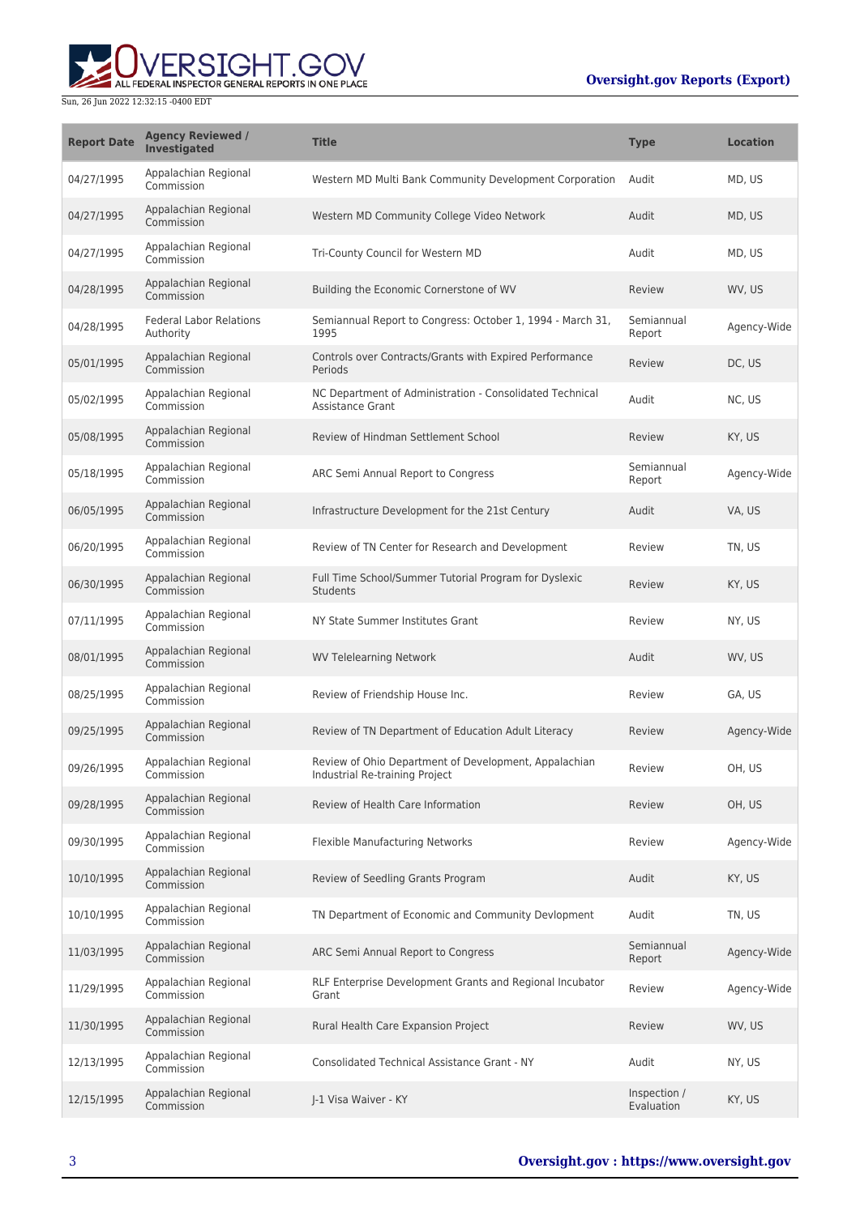# **Oversight.gov Reports (Export)**



| <b>Report Date</b> | <b>Agency Reviewed /</b><br>Investigated    | <b>Title</b>                                                                            | <b>Type</b>                | <b>Location</b> |
|--------------------|---------------------------------------------|-----------------------------------------------------------------------------------------|----------------------------|-----------------|
| 04/27/1995         | Appalachian Regional<br>Commission          | Western MD Multi Bank Community Development Corporation                                 | Audit                      | MD, US          |
| 04/27/1995         | Appalachian Regional<br>Commission          | Western MD Community College Video Network                                              | Audit                      | MD, US          |
| 04/27/1995         | Appalachian Regional<br>Commission          | Tri-County Council for Western MD                                                       | Audit                      | MD, US          |
| 04/28/1995         | Appalachian Regional<br>Commission          | Building the Economic Cornerstone of WV                                                 | Review                     | WV, US          |
| 04/28/1995         | <b>Federal Labor Relations</b><br>Authority | Semiannual Report to Congress: October 1, 1994 - March 31,<br>1995                      | Semiannual<br>Report       | Agency-Wide     |
| 05/01/1995         | Appalachian Regional<br>Commission          | Controls over Contracts/Grants with Expired Performance<br>Periods                      | Review                     | DC, US          |
| 05/02/1995         | Appalachian Regional<br>Commission          | NC Department of Administration - Consolidated Technical<br>Assistance Grant            | Audit                      | NC, US          |
| 05/08/1995         | Appalachian Regional<br>Commission          | Review of Hindman Settlement School                                                     | Review                     | KY, US          |
| 05/18/1995         | Appalachian Regional<br>Commission          | ARC Semi Annual Report to Congress                                                      | Semiannual<br>Report       | Agency-Wide     |
| 06/05/1995         | Appalachian Regional<br>Commission          | Infrastructure Development for the 21st Century                                         | Audit                      | VA, US          |
| 06/20/1995         | Appalachian Regional<br>Commission          | Review of TN Center for Research and Development                                        | Review                     | TN, US          |
| 06/30/1995         | Appalachian Regional<br>Commission          | Full Time School/Summer Tutorial Program for Dyslexic<br><b>Students</b>                | Review                     | KY, US          |
| 07/11/1995         | Appalachian Regional<br>Commission          | NY State Summer Institutes Grant                                                        | Review                     | NY, US          |
| 08/01/1995         | Appalachian Regional<br>Commission          | <b>WV Telelearning Network</b>                                                          | Audit                      | WV, US          |
| 08/25/1995         | Appalachian Regional<br>Commission          | Review of Friendship House Inc.                                                         | Review                     | GA, US          |
| 09/25/1995         | Appalachian Regional<br>Commission          | Review of TN Department of Education Adult Literacy                                     | Review                     | Agency-Wide     |
| 09/26/1995         | Appalachian Regional<br>Commission          | Review of Ohio Department of Development, Appalachian<br>Industrial Re-training Project | Review                     | OH, US          |
| 09/28/1995         | Appalachian Regional<br>Commission          | Review of Health Care Information                                                       | Review                     | OH, US          |
| 09/30/1995         | Appalachian Regional<br>Commission          | Flexible Manufacturing Networks                                                         | Review                     | Agency-Wide     |
| 10/10/1995         | Appalachian Regional<br>Commission          | Review of Seedling Grants Program                                                       | Audit                      | KY, US          |
| 10/10/1995         | Appalachian Regional<br>Commission          | TN Department of Economic and Community Devlopment                                      | Audit                      | TN, US          |
| 11/03/1995         | Appalachian Regional<br>Commission          | ARC Semi Annual Report to Congress                                                      | Semiannual<br>Report       | Agency-Wide     |
| 11/29/1995         | Appalachian Regional<br>Commission          | RLF Enterprise Development Grants and Regional Incubator<br>Grant                       | Review                     | Agency-Wide     |
| 11/30/1995         | Appalachian Regional<br>Commission          | Rural Health Care Expansion Project                                                     | Review                     | WV, US          |
| 12/13/1995         | Appalachian Regional<br>Commission          | <b>Consolidated Technical Assistance Grant - NY</b>                                     | Audit                      | NY, US          |
| 12/15/1995         | Appalachian Regional<br>Commission          | J-1 Visa Waiver - KY                                                                    | Inspection /<br>Evaluation | KY, US          |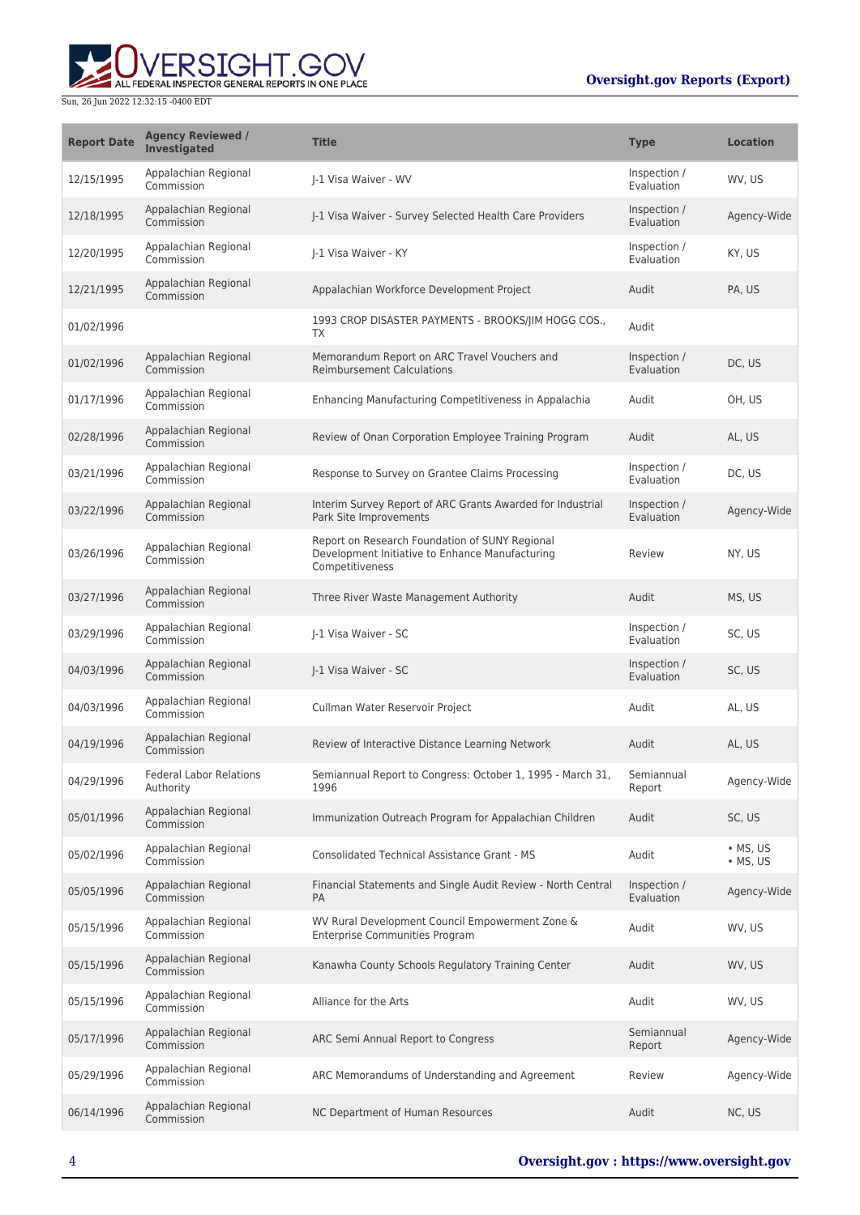# RSIGHT.GOV ALL FEDERAL INSPECTOR GENERAL REPORTS IN ONE PLACE

| <b>Report Date</b> | <b>Agency Reviewed /</b><br>Investigated    | <b>Title</b>                                                                                                         | <b>Type</b>                | <b>Location</b>                |
|--------------------|---------------------------------------------|----------------------------------------------------------------------------------------------------------------------|----------------------------|--------------------------------|
| 12/15/1995         | Appalachian Regional<br>Commission          | I-1 Visa Waiver - WV                                                                                                 | Inspection /<br>Evaluation | WV, US                         |
| 12/18/1995         | Appalachian Regional<br>Commission          | J-1 Visa Waiver - Survey Selected Health Care Providers                                                              | Inspection /<br>Evaluation | Agency-Wide                    |
| 12/20/1995         | Appalachian Regional<br>Commission          | I-1 Visa Waiver - KY                                                                                                 | Inspection /<br>Evaluation | KY, US                         |
| 12/21/1995         | Appalachian Regional<br>Commission          | Appalachian Workforce Development Project                                                                            | Audit                      | PA, US                         |
| 01/02/1996         |                                             | 1993 CROP DISASTER PAYMENTS - BROOKS/JIM HOGG COS.,<br>TX                                                            | Audit                      |                                |
| 01/02/1996         | Appalachian Regional<br>Commission          | Memorandum Report on ARC Travel Vouchers and<br><b>Reimbursement Calculations</b>                                    | Inspection /<br>Evaluation | DC, US                         |
| 01/17/1996         | Appalachian Regional<br>Commission          | Enhancing Manufacturing Competitiveness in Appalachia                                                                | Audit                      | OH, US                         |
| 02/28/1996         | Appalachian Regional<br>Commission          | Review of Onan Corporation Employee Training Program                                                                 | Audit                      | AL, US                         |
| 03/21/1996         | Appalachian Regional<br>Commission          | Response to Survey on Grantee Claims Processing                                                                      | Inspection /<br>Evaluation | DC, US                         |
| 03/22/1996         | Appalachian Regional<br>Commission          | Interim Survey Report of ARC Grants Awarded for Industrial<br>Park Site Improvements                                 | Inspection /<br>Evaluation | Agency-Wide                    |
| 03/26/1996         | Appalachian Regional<br>Commission          | Report on Research Foundation of SUNY Regional<br>Development Initiative to Enhance Manufacturing<br>Competitiveness | Review                     | NY, US                         |
| 03/27/1996         | Appalachian Regional<br>Commission          | Three River Waste Management Authority                                                                               | Audit                      | MS, US                         |
| 03/29/1996         | Appalachian Regional<br>Commission          | J-1 Visa Waiver - SC                                                                                                 | Inspection /<br>Evaluation | SC, US                         |
| 04/03/1996         | Appalachian Regional<br>Commission          | J-1 Visa Waiver - SC                                                                                                 | Inspection /<br>Evaluation | SC, US                         |
| 04/03/1996         | Appalachian Regional<br>Commission          | Cullman Water Reservoir Project                                                                                      | Audit                      | AL, US                         |
| 04/19/1996         | Appalachian Regional<br>Commission          | Review of Interactive Distance Learning Network                                                                      | Audit                      | AL, US                         |
| 04/29/1996         | <b>Federal Labor Relations</b><br>Authority | Semiannual Report to Congress: October 1, 1995 - March 31,<br>1996                                                   | Semiannual<br>Report       | Agency-Wide                    |
| 05/01/1996         | Appalachian Regional<br>Commission          | Immunization Outreach Program for Appalachian Children                                                               | Audit                      | SC, US                         |
| 05/02/1996         | Appalachian Regional<br>Commission          | Consolidated Technical Assistance Grant - MS                                                                         | Audit                      | $·$ MS, US<br>$\bullet$ MS, US |
| 05/05/1996         | Appalachian Regional<br>Commission          | Financial Statements and Single Audit Review - North Central<br>PA                                                   | Inspection /<br>Evaluation | Agency-Wide                    |
| 05/15/1996         | Appalachian Regional<br>Commission          | WV Rural Development Council Empowerment Zone &<br><b>Enterprise Communities Program</b>                             | Audit                      | WV, US                         |
| 05/15/1996         | Appalachian Regional<br>Commission          | Kanawha County Schools Regulatory Training Center                                                                    | Audit                      | WV, US                         |
| 05/15/1996         | Appalachian Regional<br>Commission          | Alliance for the Arts                                                                                                | Audit                      | WV, US                         |
| 05/17/1996         | Appalachian Regional<br>Commission          | ARC Semi Annual Report to Congress                                                                                   | Semiannual<br>Report       | Agency-Wide                    |
| 05/29/1996         | Appalachian Regional<br>Commission          | ARC Memorandums of Understanding and Agreement                                                                       | Review                     | Agency-Wide                    |
| 06/14/1996         | Appalachian Regional<br>Commission          | NC Department of Human Resources                                                                                     | Audit                      | NC, US                         |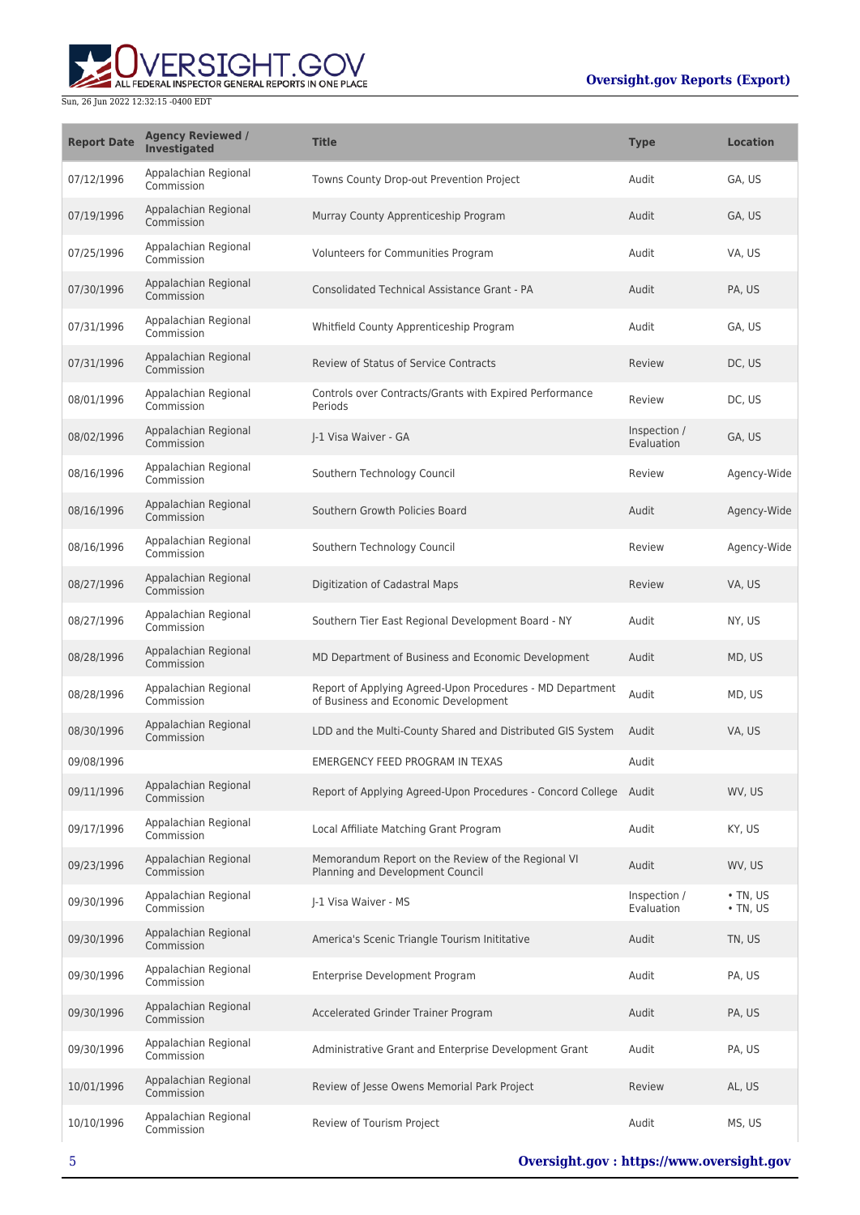

| <b>Report Date</b> | <b>Agency Reviewed /</b><br>Investigated | <b>Title</b>                                                                                      | <b>Type</b>                | <b>Location</b>                  |
|--------------------|------------------------------------------|---------------------------------------------------------------------------------------------------|----------------------------|----------------------------------|
| 07/12/1996         | Appalachian Regional<br>Commission       | Towns County Drop-out Prevention Project                                                          | Audit                      | GA, US                           |
| 07/19/1996         | Appalachian Regional<br>Commission       | Murray County Apprenticeship Program                                                              | Audit                      | GA, US                           |
| 07/25/1996         | Appalachian Regional<br>Commission       | Volunteers for Communities Program                                                                | Audit                      | VA, US                           |
| 07/30/1996         | Appalachian Regional<br>Commission       | Consolidated Technical Assistance Grant - PA                                                      | Audit                      | PA, US                           |
| 07/31/1996         | Appalachian Regional<br>Commission       | Whitfield County Apprenticeship Program                                                           | Audit                      | GA, US                           |
| 07/31/1996         | Appalachian Regional<br>Commission       | <b>Review of Status of Service Contracts</b>                                                      | Review                     | DC, US                           |
| 08/01/1996         | Appalachian Regional<br>Commission       | Controls over Contracts/Grants with Expired Performance<br>Periods                                | Review                     | DC, US                           |
| 08/02/1996         | Appalachian Regional<br>Commission       | I-1 Visa Waiver - GA                                                                              | Inspection /<br>Evaluation | GA, US                           |
| 08/16/1996         | Appalachian Regional<br>Commission       | Southern Technology Council                                                                       | Review                     | Agency-Wide                      |
| 08/16/1996         | Appalachian Regional<br>Commission       | Southern Growth Policies Board                                                                    | Audit                      | Agency-Wide                      |
| 08/16/1996         | Appalachian Regional<br>Commission       | Southern Technology Council                                                                       | Review                     | Agency-Wide                      |
| 08/27/1996         | Appalachian Regional<br>Commission       | Digitization of Cadastral Maps                                                                    | Review                     | VA, US                           |
| 08/27/1996         | Appalachian Regional<br>Commission       | Southern Tier East Regional Development Board - NY                                                | Audit                      | NY, US                           |
| 08/28/1996         | Appalachian Regional<br>Commission       | MD Department of Business and Economic Development                                                | Audit                      | MD, US                           |
| 08/28/1996         | Appalachian Regional<br>Commission       | Report of Applying Agreed-Upon Procedures - MD Department<br>of Business and Economic Development | Audit                      | MD, US                           |
| 08/30/1996         | Appalachian Regional<br>Commission       | LDD and the Multi-County Shared and Distributed GIS System                                        | Audit                      | VA, US                           |
| 09/08/1996         |                                          | <b>EMERGENCY FEED PROGRAM IN TEXAS</b>                                                            | Audit                      |                                  |
| 09/11/1996         | Appalachian Regional<br>Commission       | Report of Applying Agreed-Upon Procedures - Concord College Audit                                 |                            | WV. US                           |
| 09/17/1996         | Appalachian Regional<br>Commission       | Local Affiliate Matching Grant Program                                                            | Audit                      | KY, US                           |
| 09/23/1996         | Appalachian Regional<br>Commission       | Memorandum Report on the Review of the Regional VI<br>Planning and Development Council            | Audit                      | WV, US                           |
| 09/30/1996         | Appalachian Regional<br>Commission       | I-1 Visa Waiver - MS                                                                              | Inspection /<br>Evaluation | $\cdot$ TN, US<br>$\cdot$ TN, US |
| 09/30/1996         | Appalachian Regional<br>Commission       | America's Scenic Triangle Tourism Inititative                                                     | Audit                      | TN, US                           |
| 09/30/1996         | Appalachian Regional<br>Commission       | Enterprise Development Program                                                                    | Audit                      | PA, US                           |
| 09/30/1996         | Appalachian Regional<br>Commission       | Accelerated Grinder Trainer Program                                                               | Audit                      | PA, US                           |
| 09/30/1996         | Appalachian Regional<br>Commission       | Administrative Grant and Enterprise Development Grant                                             | Audit                      | PA, US                           |
| 10/01/1996         | Appalachian Regional<br>Commission       | Review of Jesse Owens Memorial Park Project                                                       | Review                     | AL, US                           |
| 10/10/1996         | Appalachian Regional<br>Commission       | Review of Tourism Project                                                                         | Audit                      | MS, US                           |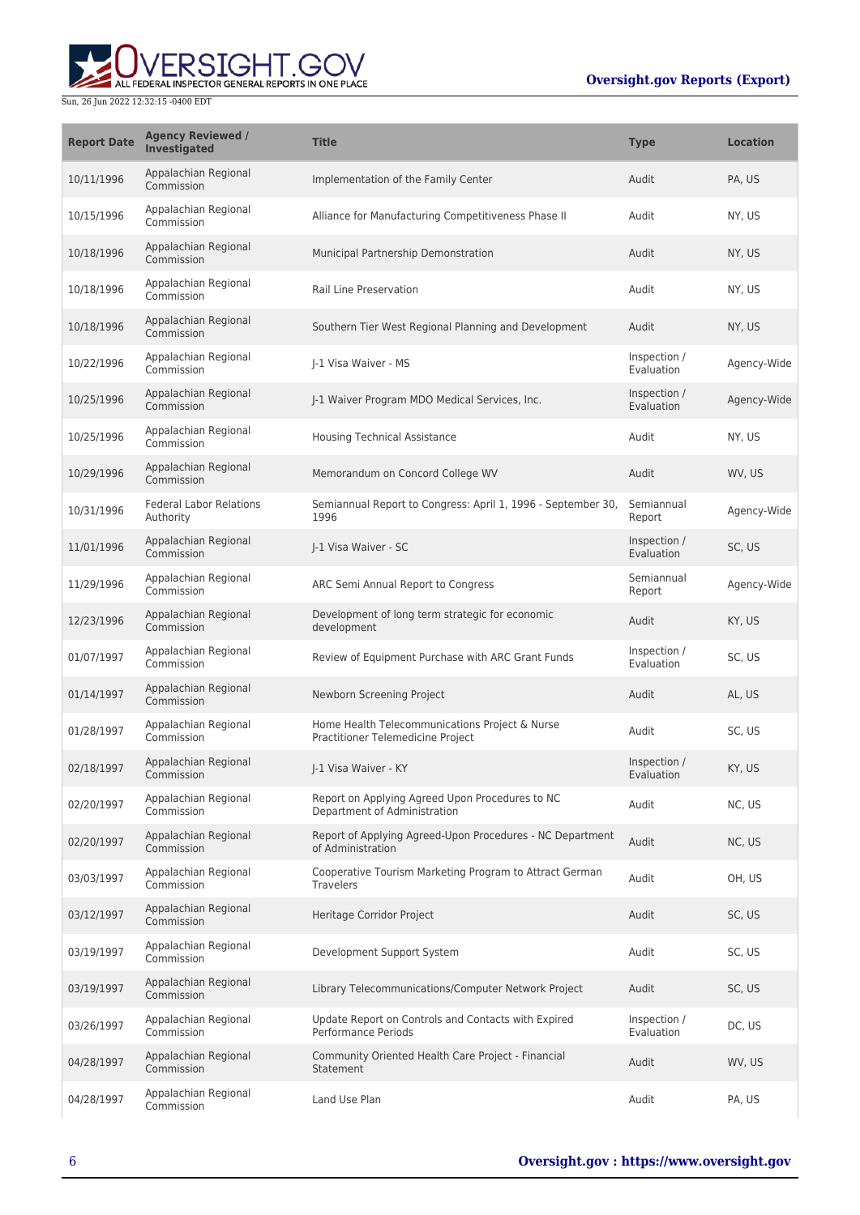

| <b>Report Date</b> | <b>Agency Reviewed /</b><br><b>Investigated</b> | <b>Title</b>                                                                        | <b>Type</b>                | <b>Location</b> |
|--------------------|-------------------------------------------------|-------------------------------------------------------------------------------------|----------------------------|-----------------|
| 10/11/1996         | Appalachian Regional<br>Commission              | Implementation of the Family Center                                                 | Audit                      | PA, US          |
| 10/15/1996         | Appalachian Regional<br>Commission              | Alliance for Manufacturing Competitiveness Phase II                                 | Audit                      | NY, US          |
| 10/18/1996         | Appalachian Regional<br>Commission              | Municipal Partnership Demonstration                                                 | Audit                      | NY, US          |
| 10/18/1996         | Appalachian Regional<br>Commission              | <b>Rail Line Preservation</b>                                                       | Audit                      | NY, US          |
| 10/18/1996         | Appalachian Regional<br>Commission              | Southern Tier West Regional Planning and Development                                | Audit                      | NY, US          |
| 10/22/1996         | Appalachian Regional<br>Commission              | J-1 Visa Waiver - MS                                                                | Inspection /<br>Evaluation | Agency-Wide     |
| 10/25/1996         | Appalachian Regional<br>Commission              | J-1 Waiver Program MDO Medical Services, Inc.                                       | Inspection /<br>Evaluation | Agency-Wide     |
| 10/25/1996         | Appalachian Regional<br>Commission              | Housing Technical Assistance                                                        | Audit                      | NY, US          |
| 10/29/1996         | Appalachian Regional<br>Commission              | Memorandum on Concord College WV                                                    | Audit                      | WV, US          |
| 10/31/1996         | <b>Federal Labor Relations</b><br>Authority     | Semiannual Report to Congress: April 1, 1996 - September 30,<br>1996                | Semiannual<br>Report       | Agency-Wide     |
| 11/01/1996         | Appalachian Regional<br>Commission              | J-1 Visa Waiver - SC                                                                | Inspection /<br>Evaluation | SC, US          |
| 11/29/1996         | Appalachian Regional<br>Commission              | ARC Semi Annual Report to Congress                                                  | Semiannual<br>Report       | Agency-Wide     |
| 12/23/1996         | Appalachian Regional<br>Commission              | Development of long term strategic for economic<br>development                      | Audit                      | KY, US          |
| 01/07/1997         | Appalachian Regional<br>Commission              | Review of Equipment Purchase with ARC Grant Funds                                   | Inspection /<br>Evaluation | SC, US          |
| 01/14/1997         | Appalachian Regional<br>Commission              | Newborn Screening Project                                                           | Audit                      | AL, US          |
| 01/28/1997         | Appalachian Regional<br>Commission              | Home Health Telecommunications Project & Nurse<br>Practitioner Telemedicine Project | Audit                      | SC, US          |
| 02/18/1997         | Appalachian Regional<br>Commission              | J-1 Visa Waiver - KY                                                                | Inspection /<br>Evaluation | KY, US          |
| 02/20/1997         | Appalachian Regional<br>Commission              | Report on Applying Agreed Upon Procedures to NC<br>Department of Administration     | Audit                      | NC, US          |
| 02/20/1997         | Appalachian Regional<br>Commission              | Report of Applying Agreed-Upon Procedures - NC Department<br>of Administration      | Audit                      | NC, US          |
| 03/03/1997         | Appalachian Regional<br>Commission              | Cooperative Tourism Marketing Program to Attract German<br><b>Travelers</b>         | Audit                      | OH, US          |
| 03/12/1997         | Appalachian Regional<br>Commission              | Heritage Corridor Project                                                           | Audit                      | SC, US          |
| 03/19/1997         | Appalachian Regional<br>Commission              | Development Support System                                                          | Audit                      | SC, US          |
| 03/19/1997         | Appalachian Regional<br>Commission              | Library Telecommunications/Computer Network Project                                 | Audit                      | SC, US          |
| 03/26/1997         | Appalachian Regional<br>Commission              | Update Report on Controls and Contacts with Expired<br>Performance Periods          | Inspection /<br>Evaluation | DC, US          |
| 04/28/1997         | Appalachian Regional<br>Commission              | Community Oriented Health Care Project - Financial<br>Statement                     | Audit                      | WV, US          |
| 04/28/1997         | Appalachian Regional<br>Commission              | Land Use Plan                                                                       | Audit                      | PA, US          |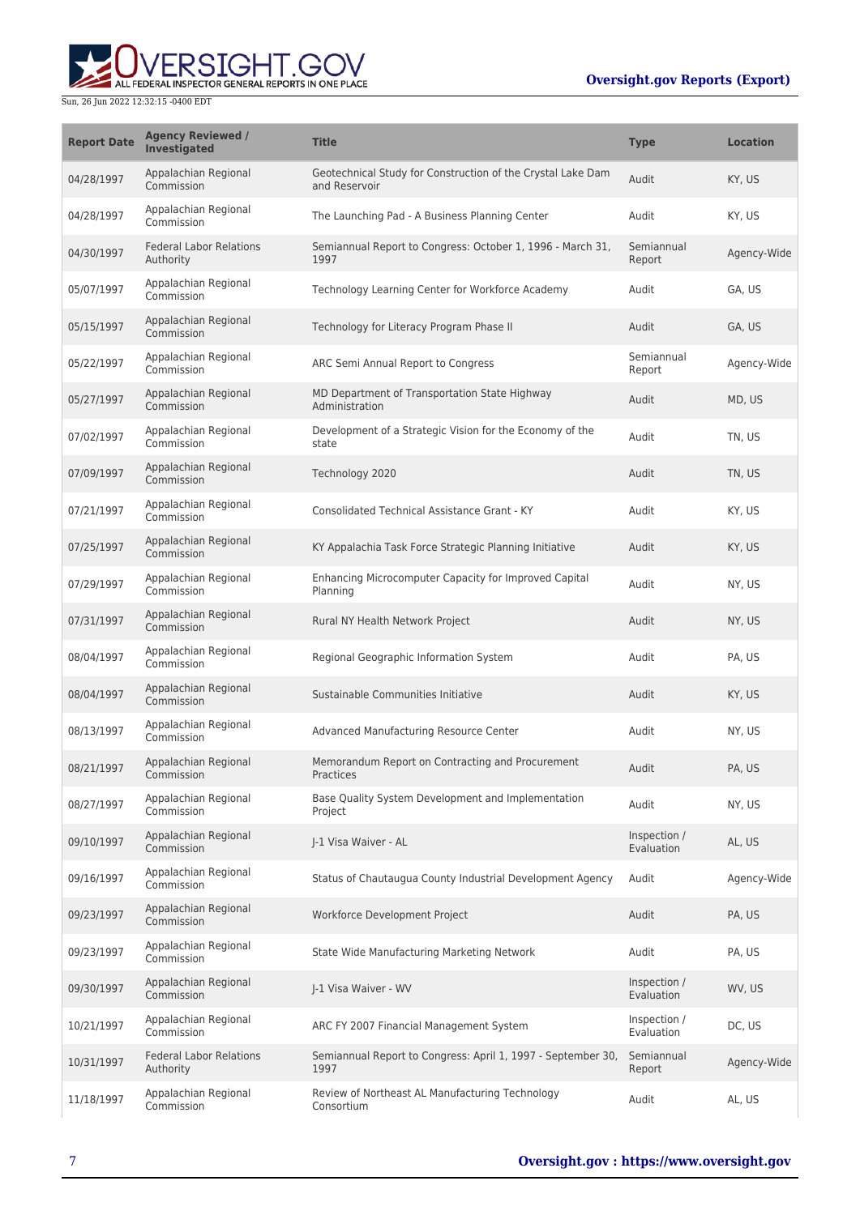**THE** 

ALL FEDERAL INSPECTOR GENERAL REPORTS IN ONE PLACE

| <b>Report Date</b> | <b>Agency Reviewed /</b><br>Investigated    | <b>Title</b>                                                                 | <b>Type</b>                | <b>Location</b> |
|--------------------|---------------------------------------------|------------------------------------------------------------------------------|----------------------------|-----------------|
| 04/28/1997         | Appalachian Regional<br>Commission          | Geotechnical Study for Construction of the Crystal Lake Dam<br>and Reservoir | Audit                      | KY, US          |
| 04/28/1997         | Appalachian Regional<br>Commission          | The Launching Pad - A Business Planning Center                               | Audit                      | KY, US          |
| 04/30/1997         | <b>Federal Labor Relations</b><br>Authority | Semiannual Report to Congress: October 1, 1996 - March 31,<br>1997           | Semiannual<br>Report       | Agency-Wide     |
| 05/07/1997         | Appalachian Regional<br>Commission          | Technology Learning Center for Workforce Academy                             | Audit                      | GA, US          |
| 05/15/1997         | Appalachian Regional<br>Commission          | Technology for Literacy Program Phase II                                     | Audit                      | GA, US          |
| 05/22/1997         | Appalachian Regional<br>Commission          | ARC Semi Annual Report to Congress                                           | Semiannual<br>Report       | Agency-Wide     |
| 05/27/1997         | Appalachian Regional<br>Commission          | MD Department of Transportation State Highway<br>Administration              | Audit                      | MD, US          |
| 07/02/1997         | Appalachian Regional<br>Commission          | Development of a Strategic Vision for the Economy of the<br>state            | Audit                      | TN, US          |
| 07/09/1997         | Appalachian Regional<br>Commission          | Technology 2020                                                              | Audit                      | TN, US          |
| 07/21/1997         | Appalachian Regional<br>Commission          | Consolidated Technical Assistance Grant - KY                                 | Audit                      | KY, US          |
| 07/25/1997         | Appalachian Regional<br>Commission          | KY Appalachia Task Force Strategic Planning Initiative                       | Audit                      | KY, US          |
| 07/29/1997         | Appalachian Regional<br>Commission          | Enhancing Microcomputer Capacity for Improved Capital<br>Planning            | Audit                      | NY, US          |
| 07/31/1997         | Appalachian Regional<br>Commission          | Rural NY Health Network Project                                              | Audit                      | NY, US          |
| 08/04/1997         | Appalachian Regional<br>Commission          | Regional Geographic Information System                                       | Audit                      | PA, US          |
| 08/04/1997         | Appalachian Regional<br>Commission          | Sustainable Communities Initiative                                           | Audit                      | KY, US          |
| 08/13/1997         | Appalachian Regional<br>Commission          | Advanced Manufacturing Resource Center                                       | Audit                      | NY, US          |
| 08/21/1997         | Appalachian Regional<br>Commission          | Memorandum Report on Contracting and Procurement<br>Practices                | Audit                      | PA, US          |
| 08/27/1997         | Appalachian Regional<br>Commission          | Base Quality System Development and Implementation<br>Project                | Audit                      | NY, US          |
| 09/10/1997         | Appalachian Regional<br>Commission          | I-1 Visa Waiver - AL                                                         | Inspection /<br>Evaluation | AL, US          |
| 09/16/1997         | Appalachian Regional<br>Commission          | Status of Chautaugua County Industrial Development Agency                    | Audit                      | Agency-Wide     |
| 09/23/1997         | Appalachian Regional<br>Commission          | Workforce Development Project                                                | Audit                      | PA, US          |
| 09/23/1997         | Appalachian Regional<br>Commission          | State Wide Manufacturing Marketing Network                                   | Audit                      | PA, US          |
| 09/30/1997         | Appalachian Regional<br>Commission          | J-1 Visa Waiver - WV                                                         | Inspection /<br>Evaluation | WV, US          |
| 10/21/1997         | Appalachian Regional<br>Commission          | ARC FY 2007 Financial Management System                                      | Inspection /<br>Evaluation | DC, US          |
| 10/31/1997         | <b>Federal Labor Relations</b><br>Authority | Semiannual Report to Congress: April 1, 1997 - September 30,<br>1997         | Semiannual<br>Report       | Agency-Wide     |
| 11/18/1997         | Appalachian Regional<br>Commission          | Review of Northeast AL Manufacturing Technology<br>Consortium                | Audit                      | AL, US          |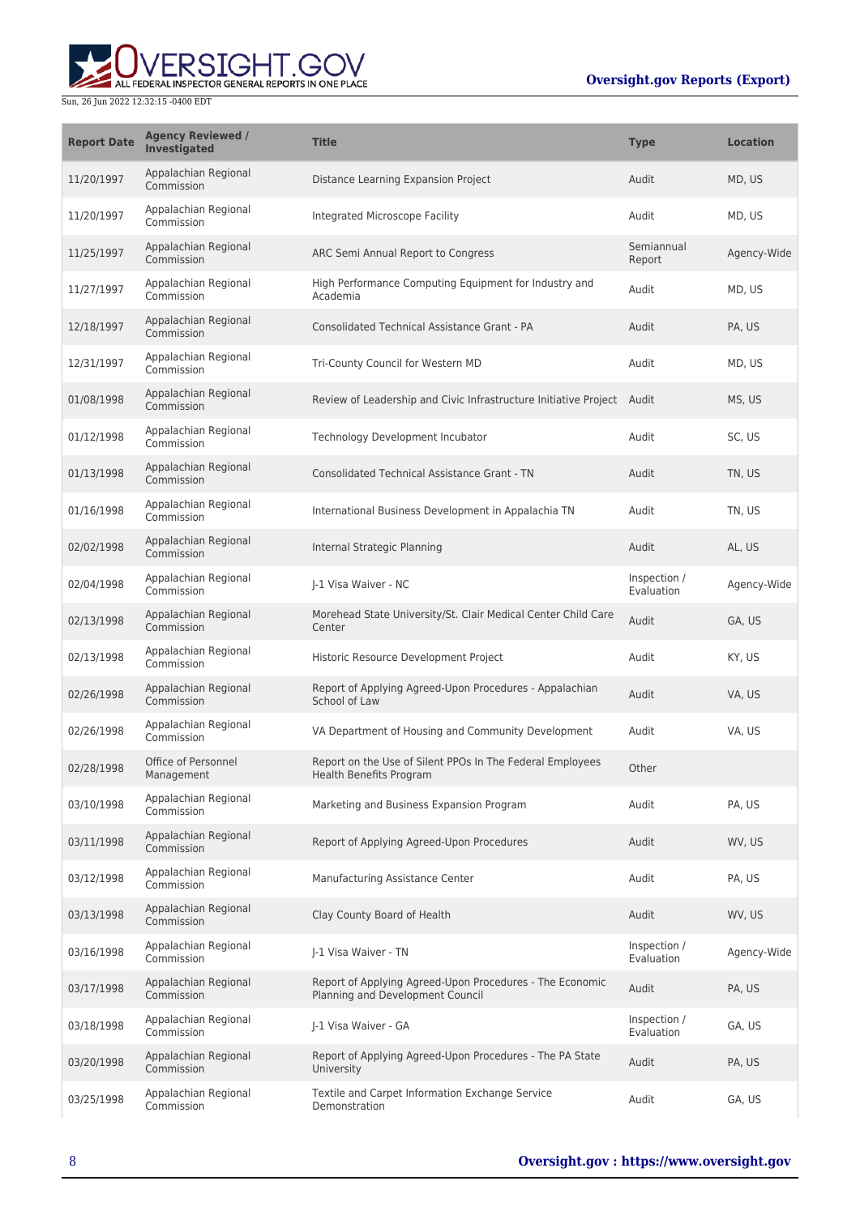

| <b>Report Date</b> | <b>Agency Reviewed /</b><br><b>Investigated</b> | <b>Title</b>                                                                                 | <b>Type</b>                | <b>Location</b> |
|--------------------|-------------------------------------------------|----------------------------------------------------------------------------------------------|----------------------------|-----------------|
| 11/20/1997         | Appalachian Regional<br>Commission              | Distance Learning Expansion Project                                                          | Audit                      | MD, US          |
| 11/20/1997         | Appalachian Regional<br>Commission              | Integrated Microscope Facility                                                               | Audit                      | MD, US          |
| 11/25/1997         | Appalachian Regional<br>Commission              | ARC Semi Annual Report to Congress                                                           | Semiannual<br>Report       | Agency-Wide     |
| 11/27/1997         | Appalachian Regional<br>Commission              | High Performance Computing Equipment for Industry and<br>Academia                            | Audit                      | MD, US          |
| 12/18/1997         | Appalachian Regional<br>Commission              | <b>Consolidated Technical Assistance Grant - PA</b>                                          | Audit                      | PA. US          |
| 12/31/1997         | Appalachian Regional<br>Commission              | Tri-County Council for Western MD                                                            | Audit                      | MD, US          |
| 01/08/1998         | Appalachian Regional<br>Commission              | Review of Leadership and Civic Infrastructure Initiative Project Audit                       |                            | MS, US          |
| 01/12/1998         | Appalachian Regional<br>Commission              | Technology Development Incubator                                                             | Audit                      | SC, US          |
| 01/13/1998         | Appalachian Regional<br>Commission              | <b>Consolidated Technical Assistance Grant - TN</b>                                          | Audit                      | TN, US          |
| 01/16/1998         | Appalachian Regional<br>Commission              | International Business Development in Appalachia TN                                          | Audit                      | TN, US          |
| 02/02/1998         | Appalachian Regional<br>Commission              | Internal Strategic Planning                                                                  | Audit                      | AL, US          |
| 02/04/1998         | Appalachian Regional<br>Commission              | J-1 Visa Waiver - NC                                                                         | Inspection /<br>Evaluation | Agency-Wide     |
| 02/13/1998         | Appalachian Regional<br>Commission              | Morehead State University/St. Clair Medical Center Child Care<br>Center                      | Audit                      | GA, US          |
| 02/13/1998         | Appalachian Regional<br>Commission              | Historic Resource Development Project                                                        | Audit                      | KY, US          |
| 02/26/1998         | Appalachian Regional<br>Commission              | Report of Applying Agreed-Upon Procedures - Appalachian<br>School of Law                     | Audit                      | VA, US          |
| 02/26/1998         | Appalachian Regional<br>Commission              | VA Department of Housing and Community Development                                           | Audit                      | VA, US          |
| 02/28/1998         | Office of Personnel<br>Management               | Report on the Use of Silent PPOs In The Federal Employees<br>Health Benefits Program         | Other                      |                 |
| 03/10/1998         | Appalachian Regional<br>Commission              | Marketing and Business Expansion Program                                                     | Audit                      | PA, US          |
| 03/11/1998         | Appalachian Regional<br>Commission              | Report of Applying Agreed-Upon Procedures                                                    | Audit                      | WV, US          |
| 03/12/1998         | Appalachian Regional<br>Commission              | Manufacturing Assistance Center                                                              | Audit                      | PA, US          |
| 03/13/1998         | Appalachian Regional<br>Commission              | Clay County Board of Health                                                                  | Audit                      | WV, US          |
| 03/16/1998         | Appalachian Regional<br>Commission              | J-1 Visa Waiver - TN                                                                         | Inspection /<br>Evaluation | Agency-Wide     |
| 03/17/1998         | Appalachian Regional<br>Commission              | Report of Applying Agreed-Upon Procedures - The Economic<br>Planning and Development Council | Audit                      | PA, US          |
| 03/18/1998         | Appalachian Regional<br>Commission              | J-1 Visa Waiver - GA                                                                         | Inspection /<br>Evaluation | GA, US          |
| 03/20/1998         | Appalachian Regional<br>Commission              | Report of Applying Agreed-Upon Procedures - The PA State<br>University                       | Audit                      | PA, US          |
| 03/25/1998         | Appalachian Regional<br>Commission              | Textile and Carpet Information Exchange Service<br>Demonstration                             | Audit                      | GA, US          |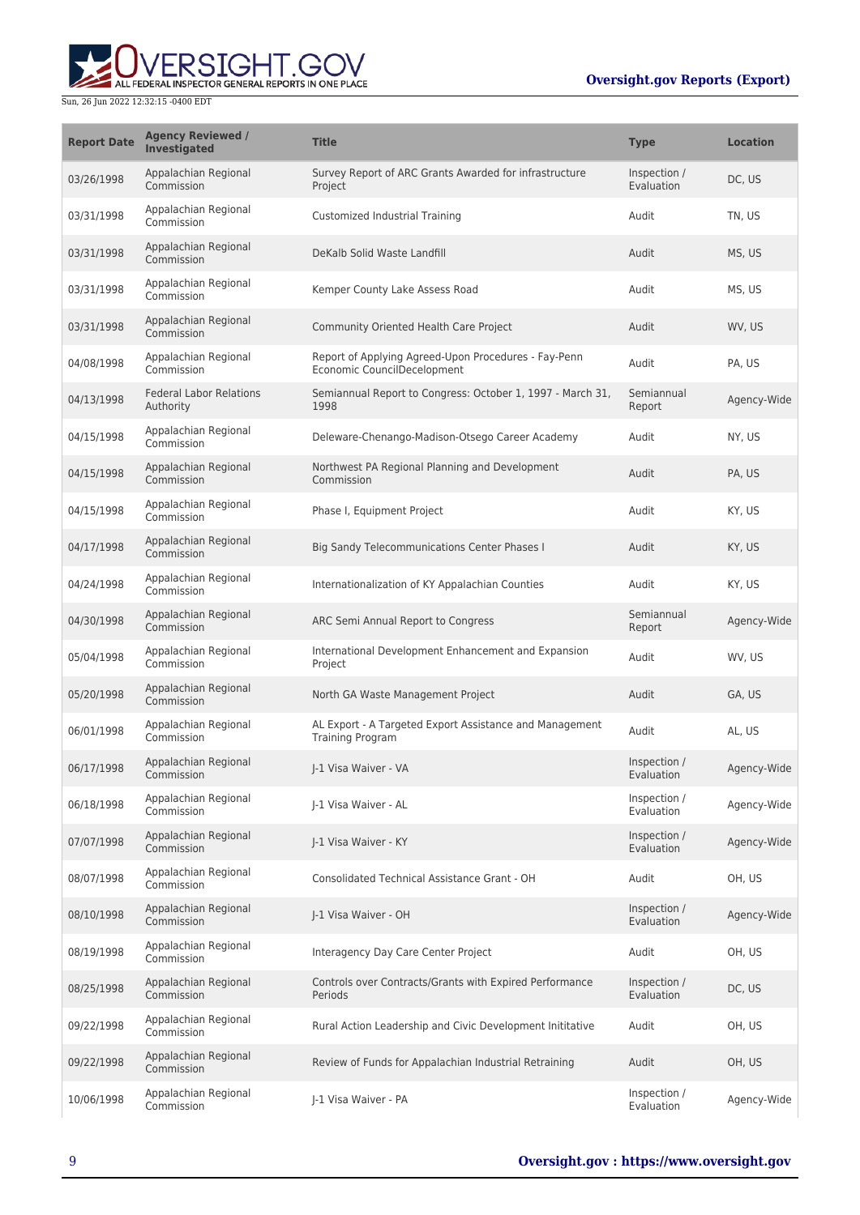

| <b>Report Date</b> | <b>Agency Reviewed /</b><br><b>Investigated</b> | <b>Title</b>                                                                        | <b>Type</b>                | <b>Location</b> |
|--------------------|-------------------------------------------------|-------------------------------------------------------------------------------------|----------------------------|-----------------|
| 03/26/1998         | Appalachian Regional<br>Commission              | Survey Report of ARC Grants Awarded for infrastructure<br>Project                   | Inspection /<br>Evaluation | DC, US          |
| 03/31/1998         | Appalachian Regional<br>Commission              | Customized Industrial Training                                                      | Audit                      | TN, US          |
| 03/31/1998         | Appalachian Regional<br>Commission              | DeKalb Solid Waste Landfill                                                         | Audit                      | MS, US          |
| 03/31/1998         | Appalachian Regional<br>Commission              | Kemper County Lake Assess Road                                                      | Audit                      | MS, US          |
| 03/31/1998         | Appalachian Regional<br>Commission              | Community Oriented Health Care Project                                              | Audit                      | WV, US          |
| 04/08/1998         | Appalachian Regional<br>Commission              | Report of Applying Agreed-Upon Procedures - Fay-Penn<br>Economic CouncilDecelopment | Audit                      | PA, US          |
| 04/13/1998         | <b>Federal Labor Relations</b><br>Authority     | Semiannual Report to Congress: October 1, 1997 - March 31,<br>1998                  | Semiannual<br>Report       | Agency-Wide     |
| 04/15/1998         | Appalachian Regional<br>Commission              | Deleware-Chenango-Madison-Otsego Career Academy                                     | Audit                      | NY, US          |
| 04/15/1998         | Appalachian Regional<br>Commission              | Northwest PA Regional Planning and Development<br>Commission                        | Audit                      | PA, US          |
| 04/15/1998         | Appalachian Regional<br>Commission              | Phase I, Equipment Project                                                          | Audit                      | KY, US          |
| 04/17/1998         | Appalachian Regional<br>Commission              | Big Sandy Telecommunications Center Phases I                                        | Audit                      | KY, US          |
| 04/24/1998         | Appalachian Regional<br>Commission              | Internationalization of KY Appalachian Counties                                     | Audit                      | KY, US          |
| 04/30/1998         | Appalachian Regional<br>Commission              | ARC Semi Annual Report to Congress                                                  | Semiannual<br>Report       | Agency-Wide     |
| 05/04/1998         | Appalachian Regional<br>Commission              | International Development Enhancement and Expansion<br>Project                      | Audit                      | WV, US          |
| 05/20/1998         | Appalachian Regional<br>Commission              | North GA Waste Management Project                                                   | Audit                      | GA, US          |
| 06/01/1998         | Appalachian Regional<br>Commission              | AL Export - A Targeted Export Assistance and Management<br><b>Training Program</b>  | Audit                      | AL, US          |
| 06/17/1998         | Appalachian Regional<br>Commission              | I-1 Visa Waiver - VA                                                                | Inspection /<br>Evaluation | Agency-Wide     |
| 06/18/1998         | Appalachian Regional<br>Commission              | J-1 Visa Waiver - AL                                                                | Inspection /<br>Evaluation | Agency-Wide     |
| 07/07/1998         | Appalachian Regional<br>Commission              | I-1 Visa Waiver - KY                                                                | Inspection /<br>Evaluation | Agency-Wide     |
| 08/07/1998         | Appalachian Regional<br>Commission              | Consolidated Technical Assistance Grant - OH                                        | Audit                      | OH, US          |
| 08/10/1998         | Appalachian Regional<br>Commission              | J-1 Visa Waiver - OH                                                                | Inspection /<br>Evaluation | Agency-Wide     |
| 08/19/1998         | Appalachian Regional<br>Commission              | Interagency Day Care Center Project                                                 | Audit                      | OH, US          |
| 08/25/1998         | Appalachian Regional<br>Commission              | Controls over Contracts/Grants with Expired Performance<br><b>Periods</b>           | Inspection /<br>Evaluation | DC, US          |
| 09/22/1998         | Appalachian Regional<br>Commission              | Rural Action Leadership and Civic Development Inititative                           | Audit                      | OH, US          |
| 09/22/1998         | Appalachian Regional<br>Commission              | Review of Funds for Appalachian Industrial Retraining                               | Audit                      | OH, US          |
| 10/06/1998         | Appalachian Regional<br>Commission              | J-1 Visa Waiver - PA                                                                | Inspection /<br>Evaluation | Agency-Wide     |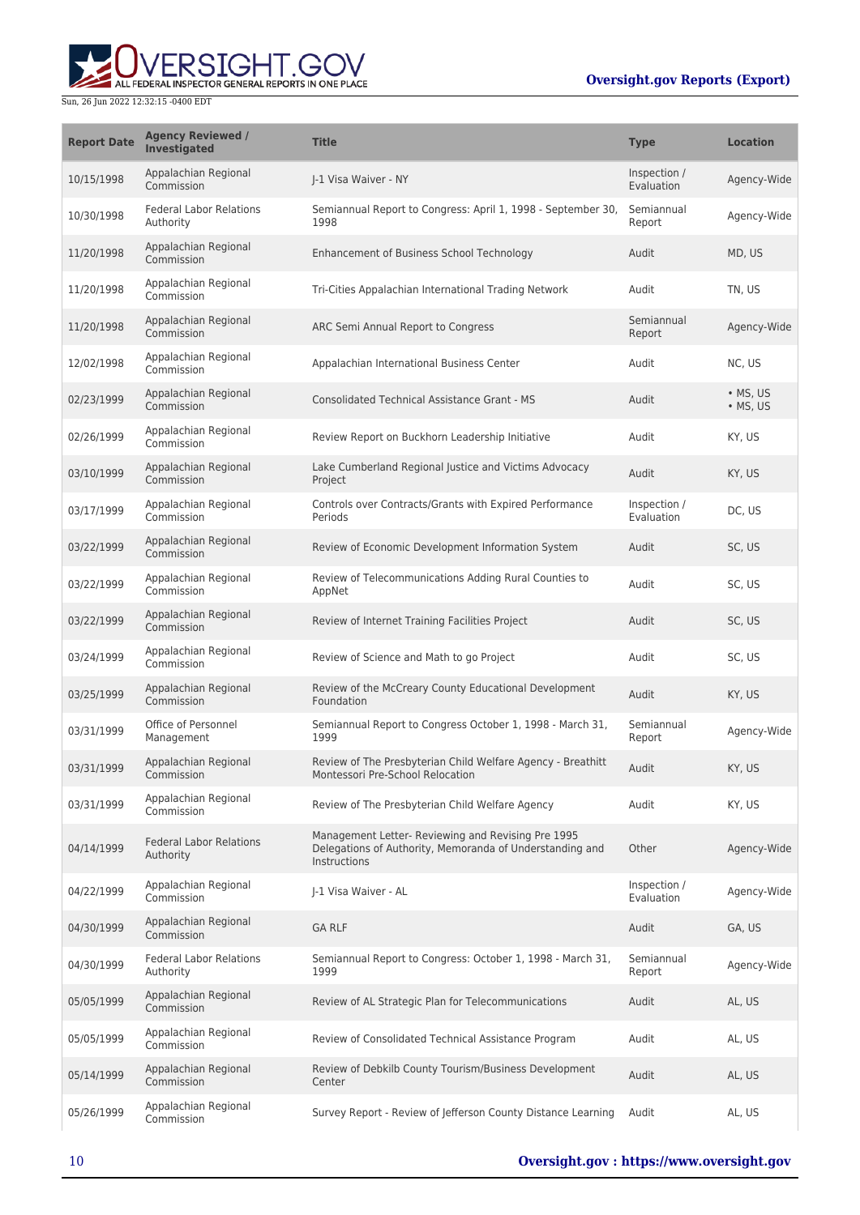# ERSIGHT.GOV ALL FEDERAL INSPECTOR GENERAL REPORTS IN ONE PLACE

| <b>Report Date</b> | <b>Agency Reviewed /</b><br><b>Investigated</b> | <b>Title</b>                                                                                                                   | <b>Type</b>                | <b>Location</b>      |
|--------------------|-------------------------------------------------|--------------------------------------------------------------------------------------------------------------------------------|----------------------------|----------------------|
| 10/15/1998         | Appalachian Regional<br>Commission              | I-1 Visa Waiver - NY                                                                                                           | Inspection /<br>Evaluation | Agency-Wide          |
| 10/30/1998         | <b>Federal Labor Relations</b><br>Authority     | Semiannual Report to Congress: April 1, 1998 - September 30,<br>1998                                                           | Semiannual<br>Report       | Agency-Wide          |
| 11/20/1998         | Appalachian Regional<br>Commission              | Enhancement of Business School Technology                                                                                      | Audit                      | MD, US               |
| 11/20/1998         | Appalachian Regional<br>Commission              | Tri-Cities Appalachian International Trading Network                                                                           | Audit                      | TN, US               |
| 11/20/1998         | Appalachian Regional<br>Commission              | ARC Semi Annual Report to Congress                                                                                             | Semiannual<br>Report       | Agency-Wide          |
| 12/02/1998         | Appalachian Regional<br>Commission              | Appalachian International Business Center                                                                                      | Audit                      | NC, US               |
| 02/23/1999         | Appalachian Regional<br>Commission              | <b>Consolidated Technical Assistance Grant - MS</b>                                                                            | Audit                      | • MS, US<br>• MS, US |
| 02/26/1999         | Appalachian Regional<br>Commission              | Review Report on Buckhorn Leadership Initiative                                                                                | Audit                      | KY, US               |
| 03/10/1999         | Appalachian Regional<br>Commission              | Lake Cumberland Regional Justice and Victims Advocacy<br>Project                                                               | Audit                      | KY, US               |
| 03/17/1999         | Appalachian Regional<br>Commission              | Controls over Contracts/Grants with Expired Performance<br><b>Periods</b>                                                      | Inspection /<br>Evaluation | DC, US               |
| 03/22/1999         | Appalachian Regional<br>Commission              | Review of Economic Development Information System                                                                              | Audit                      | SC, US               |
| 03/22/1999         | Appalachian Regional<br>Commission              | Review of Telecommunications Adding Rural Counties to<br>AppNet                                                                | Audit                      | SC, US               |
| 03/22/1999         | Appalachian Regional<br>Commission              | Review of Internet Training Facilities Project                                                                                 | Audit                      | SC, US               |
| 03/24/1999         | Appalachian Regional<br>Commission              | Review of Science and Math to go Project                                                                                       | Audit                      | SC, US               |
| 03/25/1999         | Appalachian Regional<br>Commission              | Review of the McCreary County Educational Development<br>Foundation                                                            | Audit                      | KY, US               |
| 03/31/1999         | Office of Personnel<br>Management               | Semiannual Report to Congress October 1, 1998 - March 31,<br>1999                                                              | Semiannual<br>Report       | Agency-Wide          |
| 03/31/1999         | Appalachian Regional<br>Commission              | Review of The Presbyterian Child Welfare Agency - Breathitt<br>Montessori Pre-School Relocation                                | Audit                      | KY, US               |
| 03/31/1999         | Appalachian Regional<br>Commission              | Review of The Presbyterian Child Welfare Agency                                                                                | Audit                      | KY, US               |
| 04/14/1999         | <b>Federal Labor Relations</b><br>Authority     | Management Letter- Reviewing and Revising Pre 1995<br>Delegations of Authority, Memoranda of Understanding and<br>Instructions | Other                      | Agency-Wide          |
| 04/22/1999         | Appalachian Regional<br>Commission              | J-1 Visa Waiver - AL                                                                                                           | Inspection /<br>Evaluation | Agency-Wide          |
| 04/30/1999         | Appalachian Regional<br>Commission              | <b>GA RLF</b>                                                                                                                  | Audit                      | GA, US               |
| 04/30/1999         | <b>Federal Labor Relations</b><br>Authority     | Semiannual Report to Congress: October 1, 1998 - March 31,<br>1999                                                             | Semiannual<br>Report       | Agency-Wide          |
| 05/05/1999         | Appalachian Regional<br>Commission              | Review of AL Strategic Plan for Telecommunications                                                                             | Audit                      | AL, US               |
| 05/05/1999         | Appalachian Regional<br>Commission              | Review of Consolidated Technical Assistance Program                                                                            | Audit                      | AL, US               |
| 05/14/1999         | Appalachian Regional<br>Commission              | Review of Debkilb County Tourism/Business Development<br>Center                                                                | Audit                      | AL, US               |
| 05/26/1999         | Appalachian Regional<br>Commission              | Survey Report - Review of Jefferson County Distance Learning                                                                   | Audit                      | AL, US               |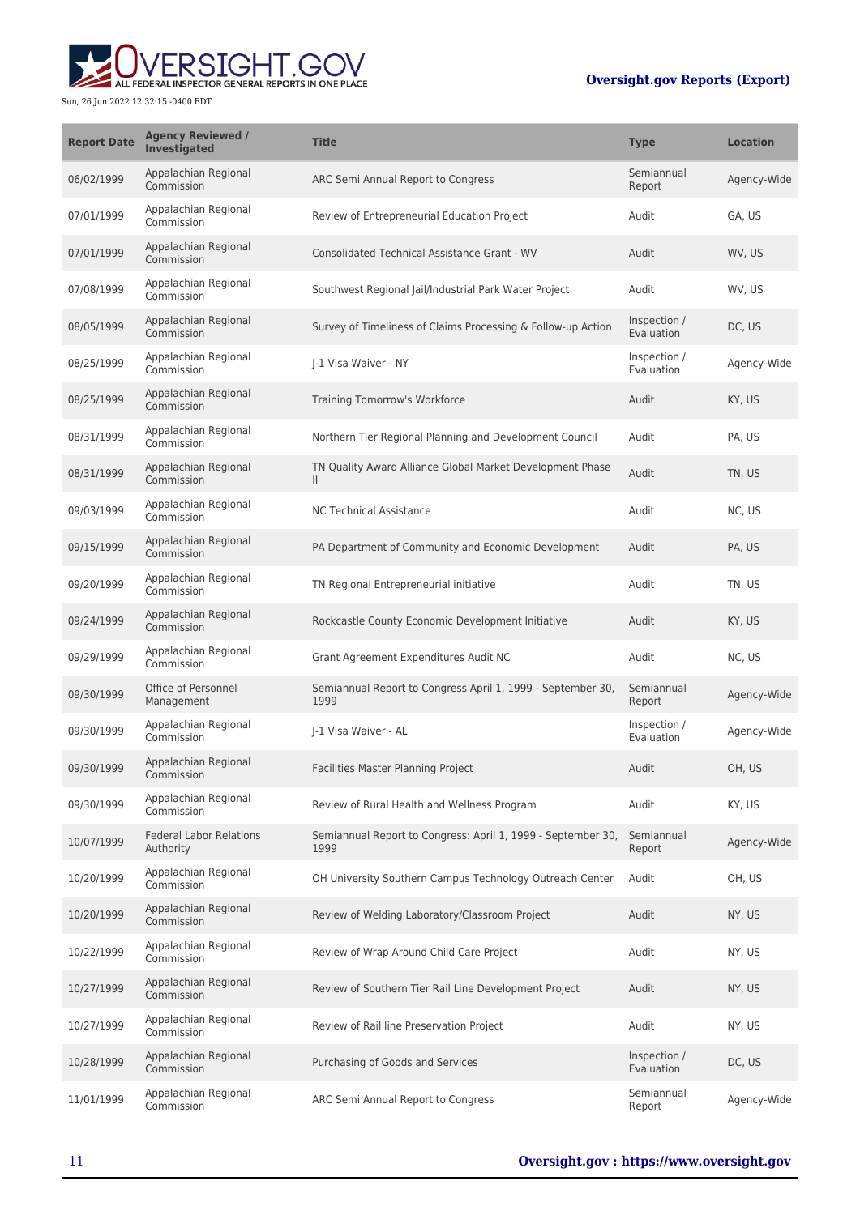

| <b>Report Date</b> | <b>Agency Reviewed /</b><br>Investigated    | <b>Title</b>                                                              | <b>Type</b>                | <b>Location</b> |
|--------------------|---------------------------------------------|---------------------------------------------------------------------------|----------------------------|-----------------|
| 06/02/1999         | Appalachian Regional<br>Commission          | ARC Semi Annual Report to Congress                                        | Semiannual<br>Report       | Agency-Wide     |
| 07/01/1999         | Appalachian Regional<br>Commission          | Review of Entrepreneurial Education Project                               | Audit                      | GA. US          |
| 07/01/1999         | Appalachian Regional<br>Commission          | Consolidated Technical Assistance Grant - WV                              | Audit                      | WV, US          |
| 07/08/1999         | Appalachian Regional<br>Commission          | Southwest Regional Jail/Industrial Park Water Project                     | Audit                      | WV, US          |
| 08/05/1999         | Appalachian Regional<br>Commission          | Survey of Timeliness of Claims Processing & Follow-up Action              | Inspection /<br>Evaluation | DC, US          |
| 08/25/1999         | Appalachian Regional<br>Commission          | I-1 Visa Waiver - NY                                                      | Inspection /<br>Evaluation | Agency-Wide     |
| 08/25/1999         | Appalachian Regional<br>Commission          | Training Tomorrow's Workforce                                             | Audit                      | KY, US          |
| 08/31/1999         | Appalachian Regional<br>Commission          | Northern Tier Regional Planning and Development Council                   | Audit                      | PA, US          |
| 08/31/1999         | Appalachian Regional<br>Commission          | TN Quality Award Alliance Global Market Development Phase<br>$\mathbf{H}$ | Audit                      | TN, US          |
| 09/03/1999         | Appalachian Regional<br>Commission          | <b>NC Technical Assistance</b>                                            | Audit                      | NC, US          |
| 09/15/1999         | Appalachian Regional<br>Commission          | PA Department of Community and Economic Development                       | Audit                      | PA, US          |
| 09/20/1999         | Appalachian Regional<br>Commission          | TN Regional Entrepreneurial initiative                                    | Audit                      | TN, US          |
| 09/24/1999         | Appalachian Regional<br>Commission          | Rockcastle County Economic Development Initiative                         | Audit                      | KY, US          |
| 09/29/1999         | Appalachian Regional<br>Commission          | Grant Agreement Expenditures Audit NC                                     | Audit                      | NC, US          |
| 09/30/1999         | Office of Personnel<br>Management           | Semiannual Report to Congress April 1, 1999 - September 30,<br>1999       | Semiannual<br>Report       | Agency-Wide     |
| 09/30/1999         | Appalachian Regional<br>Commission          | I-1 Visa Waiver - AL                                                      | Inspection /<br>Evaluation | Agency-Wide     |
| 09/30/1999         | Appalachian Regional<br>Commission          | Facilities Master Planning Project                                        | Audit                      | OH, US          |
| 09/30/1999         | Appalachian Regional<br>Commission          | Review of Rural Health and Wellness Program                               | Audit                      | KY, US          |
| 10/07/1999         | <b>Federal Labor Relations</b><br>Authority | Semiannual Report to Congress: April 1, 1999 - September 30,<br>1999      | Semiannual<br>Report       | Agency-Wide     |
| 10/20/1999         | Appalachian Regional<br>Commission          | OH University Southern Campus Technology Outreach Center                  | Audit                      | OH, US          |
| 10/20/1999         | Appalachian Regional<br>Commission          | Review of Welding Laboratory/Classroom Project                            | Audit                      | NY, US          |
| 10/22/1999         | Appalachian Regional<br>Commission          | Review of Wrap Around Child Care Project                                  | Audit                      | NY, US          |
| 10/27/1999         | Appalachian Regional<br>Commission          | Review of Southern Tier Rail Line Development Project                     | Audit                      | NY, US          |
| 10/27/1999         | Appalachian Regional<br>Commission          | Review of Rail line Preservation Project                                  | Audit                      | NY, US          |
| 10/28/1999         | Appalachian Regional<br>Commission          | Purchasing of Goods and Services                                          | Inspection /<br>Evaluation | DC, US          |
| 11/01/1999         | Appalachian Regional<br>Commission          | ARC Semi Annual Report to Congress                                        | Semiannual<br>Report       | Agency-Wide     |